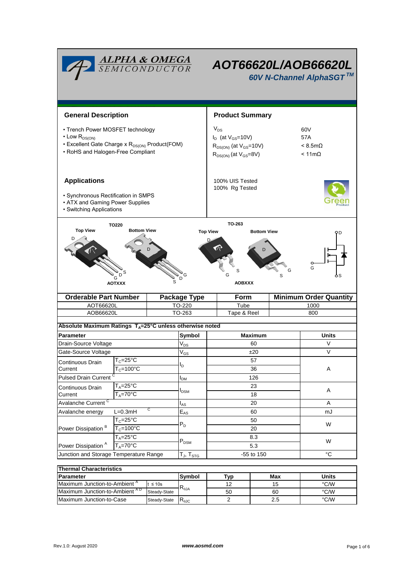|                                                                                                                                                                 | <b>ALPHA &amp; OMEGA</b><br>SEMICONDUCTOR         |                                                                                                           |                                     | AOT66620L/AOB66620L<br>60V N-Channel AlphaSGT™       |                                                        |          |                               |  |  |
|-----------------------------------------------------------------------------------------------------------------------------------------------------------------|---------------------------------------------------|-----------------------------------------------------------------------------------------------------------|-------------------------------------|------------------------------------------------------|--------------------------------------------------------|----------|-------------------------------|--|--|
| <b>General Description</b>                                                                                                                                      |                                                   | <b>Product Summary</b>                                                                                    |                                     |                                                      |                                                        |          |                               |  |  |
| • Trench Power MOSFET technology<br>$\cdot$ Low $R_{DS(ON)}$<br>• Excellent Gate Charge x R <sub>DS(ON)</sub> Product(FOM)<br>• RoHS and Halogen-Free Compliant |                                                   | $V_{DS}$<br>$I_D$ (at $V_{GS}$ =10V)<br>$R_{DS(ON)}$ (at $V_{GS}$ =10V)<br>$R_{DS(ON)}$ (at $V_{GS}=8V$ ) |                                     |                                                      | 60V<br>57A<br>$< 8.5 m\Omega$<br>$< 11 \text{m}\Omega$ |          |                               |  |  |
| <b>Applications</b><br>• Synchronous Rectification in SMPS<br>• ATX and Gaming Power Supplies<br>• Switching Applications                                       |                                                   | 100% UIS Tested<br>100% Rg Tested                                                                         |                                     |                                                      |                                                        |          |                               |  |  |
| <b>Top View</b>                                                                                                                                                 | TO220<br><b>Bottom View</b><br>G<br><b>AOTXXX</b> | s                                                                                                         | G<br>D                              | TO-263<br><b>Top View</b><br>S<br>G<br><b>AOBXXX</b> | <b>Bottom View</b>                                     | G        | ϘD<br>G                       |  |  |
| <b>Orderable Part Number</b>                                                                                                                                    |                                                   |                                                                                                           | <b>Package Type</b>                 | Form                                                 |                                                        |          | <b>Minimum Order Quantity</b> |  |  |
| AOT66620L                                                                                                                                                       |                                                   | TO-220                                                                                                    |                                     | Tube                                                 |                                                        |          | 1000                          |  |  |
| AOB66620L                                                                                                                                                       |                                                   |                                                                                                           | TO-263                              | Tape & Reel                                          |                                                        |          | 800                           |  |  |
| Absolute Maximum Ratings $T_A = 25^\circ \text{C}$ unless otherwise noted                                                                                       |                                                   |                                                                                                           |                                     |                                                      |                                                        |          |                               |  |  |
| <b>Parameter</b>                                                                                                                                                |                                                   |                                                                                                           | Symbol                              | <b>Maximum</b>                                       |                                                        |          | <b>Units</b>                  |  |  |
| Drain-Source Voltage                                                                                                                                            |                                                   |                                                                                                           | $V_{DS}$                            |                                                      | 60                                                     |          | V                             |  |  |
| Gate-Source Voltage                                                                                                                                             |                                                   |                                                                                                           | $\mathsf{V}_{\mathsf{GS}}$          | ±20                                                  |                                                        |          | $\vee$                        |  |  |
| $T_c = 25$ °C<br>Continuous Drain                                                                                                                               |                                                   |                                                                                                           |                                     | 57                                                   |                                                        |          |                               |  |  |
| Current                                                                                                                                                         | $T_c = 100^{\circ}C$                              |                                                                                                           | l <sub>D</sub>                      | 36                                                   |                                                        |          | Α                             |  |  |
| <b>Pulsed Drain Current</b>                                                                                                                                     |                                                   |                                                                                                           | <b>I</b> <sub>DM</sub>              | 126                                                  |                                                        |          |                               |  |  |
| Continuous Drain                                                                                                                                                |                                                   | $T_A = 25$ °C                                                                                             |                                     | 23                                                   |                                                        |          | Α                             |  |  |
|                                                                                                                                                                 | $T_A = 70$ °C<br>Current                          |                                                                                                           | <b>I</b> <sub>DSM</sub>             | 18                                                   |                                                        |          |                               |  |  |
| Avalanche Current <sup>C</sup><br>С                                                                                                                             |                                                   |                                                                                                           | $I_{AS}$                            | 20                                                   |                                                        |          | Α                             |  |  |
| $L=0.3mH$<br>Avalanche energy                                                                                                                                   |                                                   |                                                                                                           | $\mathsf{E}_{\mathsf{AS}}$<br>$P_D$ | 60                                                   |                                                        |          | mJ<br>W                       |  |  |
| Power Dissipation <sup>B</sup>                                                                                                                                  | $T_c = 25$ °C                                     |                                                                                                           |                                     | 50                                                   |                                                        |          |                               |  |  |
|                                                                                                                                                                 | $T_c = 100$ °C<br>$T_A = 25$ °C                   |                                                                                                           |                                     | 20<br>8.3                                            |                                                        |          |                               |  |  |
| Power Dissipation <sup>A</sup><br>$T_A = 70$ °C                                                                                                                 |                                                   |                                                                                                           | $P_{DSM}$                           | 5.3                                                  |                                                        |          | W                             |  |  |
| Junction and Storage Temperature Range                                                                                                                          |                                                   |                                                                                                           | $T_{J}$ , $T_{STG}$                 | -55 to 150                                           |                                                        |          | $^{\circ}C$                   |  |  |
|                                                                                                                                                                 |                                                   |                                                                                                           |                                     |                                                      |                                                        |          |                               |  |  |
| <b>Thermal Characteristics</b>                                                                                                                                  |                                                   |                                                                                                           |                                     |                                                      |                                                        |          |                               |  |  |
| <b>Parameter</b>                                                                                                                                                |                                                   |                                                                                                           | Symbol                              | Typ                                                  |                                                        | Max      | <b>Units</b>                  |  |  |
| Maximum Junction-to-Ambient <sup>A</sup><br>$t \leq 10s$<br>Maximum Junction-to-Ambient AD<br>Steady-State                                                      |                                                   |                                                                                                           | $\mathsf{R}_{\theta\mathsf{JA}}$    | 12<br>50                                             |                                                        | 15<br>60 | °C/W<br>$\degree$ C/W         |  |  |
|                                                                                                                                                                 |                                                   |                                                                                                           |                                     |                                                      |                                                        |          |                               |  |  |

Maximum Junction-to-Case Steady-State R<sub>6JC</sub> 2 2.5 °C/W

2

2.5

Steady-State R<sub>eJC</sub>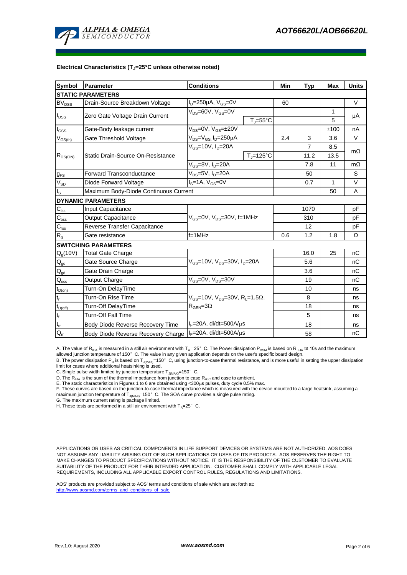

#### **Electrical Characteristics (TJ=25°C unless otherwise noted)**

| <b>Symbol</b>                                         | <b>Parameter</b>                                                        | <b>Conditions</b>                                            |                                |      | <b>Typ</b>     | Max  | <b>Units</b> |  |  |  |  |  |
|-------------------------------------------------------|-------------------------------------------------------------------------|--------------------------------------------------------------|--------------------------------|------|----------------|------|--------------|--|--|--|--|--|
| <b>STATIC PARAMETERS</b>                              |                                                                         |                                                              |                                |      |                |      |              |  |  |  |  |  |
| $\mathsf{BV}_\mathsf{DSS}$                            | Drain-Source Breakdown Voltage                                          | $I_D = 250 \mu A$ , $V_{GS} = 0V$                            |                                | 60   |                |      | V            |  |  |  |  |  |
| $I_{DSS}$                                             | Zero Gate Voltage Drain Current                                         | $V_{DS} = 60V$ , $V_{GS} = 0V$                               |                                |      |                | 1    | μA           |  |  |  |  |  |
|                                                       |                                                                         |                                                              | $T_{\parallel} = 55^{\circ}$ C |      |                | 5    |              |  |  |  |  |  |
| l <sub>GSS</sub>                                      | Gate-Body leakage current                                               | $V_{DS} = 0V$ , $V_{GS} = \pm 20V$                           |                                |      |                | ±100 | nA           |  |  |  |  |  |
| $\mathsf{V}_{\mathsf{GS}(\mathsf{th})}$               | Gate Threshold Voltage                                                  | $V_{DS} = V_{GS}$ , $I_D = 250 \mu A$                        |                                | 2.4  | 3              | 3.6  | V            |  |  |  |  |  |
| $R_{DS(ON)}$                                          |                                                                         | $V_{GS}$ =10V, $I_D$ =20A                                    |                                |      | $\overline{7}$ | 8.5  | $m\Omega$    |  |  |  |  |  |
|                                                       | Static Drain-Source On-Resistance                                       |                                                              | $T_{\rm J}$ =125°C             |      | 11.2           | 13.5 |              |  |  |  |  |  |
|                                                       |                                                                         | $V_{GS}$ =8V, $I_{D}$ =20A                                   |                                |      | 7.8            | 11   | $m\Omega$    |  |  |  |  |  |
| $g_{FS}$                                              | <b>Forward Transconductance</b>                                         | V <sub>DS</sub> =5V, I <sub>D</sub> =20A                     |                                | 50   |                | S    |              |  |  |  |  |  |
| $V_{SD}$                                              | Diode Forward Voltage                                                   | $IS=1A, VGS=0V$                                              |                                |      | 0.7            | 1    | V            |  |  |  |  |  |
| l <sub>s</sub>                                        | Maximum Body-Diode Continuous Current                                   |                                                              |                                | 50   | A              |      |              |  |  |  |  |  |
|                                                       | <b>DYNAMIC PARAMETERS</b>                                               |                                                              |                                |      |                |      |              |  |  |  |  |  |
| $C_{\text{iss}}$                                      | <b>Input Capacitance</b>                                                |                                                              |                                | 1070 |                | pF   |              |  |  |  |  |  |
| $C_{\rm oss}$                                         | <b>Output Capacitance</b>                                               | $V_{GS}$ =0V, $V_{DS}$ =30V, f=1MHz                          |                                |      | 310            |      | pF           |  |  |  |  |  |
| $C_{\text{rss}}$                                      | Reverse Transfer Capacitance                                            |                                                              |                                | 12   |                | pF   |              |  |  |  |  |  |
| $R_{g}$                                               | Gate resistance                                                         | $f=1$ MHz                                                    |                                | 0.6  | 1.2            | 1.8  | Ω            |  |  |  |  |  |
|                                                       | <b>SWITCHING PARAMETERS</b>                                             |                                                              |                                |      |                |      |              |  |  |  |  |  |
| Q <sub>g</sub> (10V)                                  | <b>Total Gate Charge</b>                                                |                                                              |                                |      | 16.0           | 25   | nC           |  |  |  |  |  |
| $\mathsf{Q}_{\mathsf{gs}}$                            | Gate Source Charge                                                      | $V_{GS}$ =10V, $V_{DS}$ =30V, $I_{D}$ =20A                   |                                |      | 5.6            |      | nC           |  |  |  |  |  |
| $Q_{gd}$                                              | Gate Drain Charge                                                       |                                                              |                                |      | 3.6            |      | nC           |  |  |  |  |  |
| $\mathsf{Q}_\mathsf{oss}$                             | Output Charge                                                           | $V_{GS}$ =0V, $V_{DS}$ =30V                                  |                                |      | 19             |      | nC           |  |  |  |  |  |
| $\operatorname{\mathsf{t}}_{\mathsf{D}(\mathsf{on})}$ | Turn-On DelayTime                                                       |                                                              |                                |      | 10             |      | ns           |  |  |  |  |  |
| t,                                                    | Turn-On Rise Time                                                       | $V_{GS}$ =10V, $V_{DS}$ =30V, R <sub>L</sub> =1.5 $\Omega$ , |                                |      | 8              |      | ns           |  |  |  |  |  |
| $t_{D(off)}$                                          | Turn-Off DelayTime                                                      | $\mathsf{R}_{\mathsf{GEN}}\!\!=\!\!3\Omega$                  |                                | 18   |                | ns   |              |  |  |  |  |  |
| $t_f$                                                 | Turn-Off Fall Time                                                      |                                                              |                                |      | 5              |      | ns           |  |  |  |  |  |
| $\mathfrak{t}_{\text{rr}}$                            | l <sub>F</sub> =20A, di/dt=500A/μs<br>Body Diode Reverse Recovery Time  |                                                              |                                | 18   |                | ns   |              |  |  |  |  |  |
| $Q_{rr}$                                              | $I_F = 20A$ , di/dt=500A/ $\mu$ s<br>Body Diode Reverse Recovery Charge |                                                              |                                | 58   |                | nC   |              |  |  |  |  |  |

A. The value of R<sub>nJA</sub> is measured in a still air environment with T<sub>A</sub> =25°C. The Power dissipation P<sub>DSM</sub> is based on R <sub>nJA</sub> t≤ 10s and the maximum allowed junction temperature of 150°C. The value in any given application depends on the user's specific board design.

B. The power dissipation P<sub>D</sub> is based on T<sub>J(MAX)</sub>=150°C, using junction-to-case thermal resistance, and is more useful in setting the upper dissipation<br>limit for cases where additional heatsinking is used.

C. Single pulse width limited by junction temperature  $T_{J(MAX)}$ =150°C.

D. The  $R_{qJA}$  is the sum of the thermal impedance from junction to case  $R_{qJC}$  and case to ambient.

E. The static characteristics in Figures 1 to 6 are obtained using <300 $\mu$ s pulses, duty cycle 0.5% max.

F. These curves are based on the junction-to-case thermal impedance which is measured with the device mounted to a large heatsink, assuming a maximum junction temperature of  $T_{J(MAX)}$ =150°C. The SOA curve provides a single pulse rating.

G. The maximum current rating is package limited.

H. These tests are performed in a still air environment with  $T_A=25^\circ$  C.

APPLICATIONS OR USES AS CRITICAL COMPONENTS IN LIFE SUPPORT DEVICES OR SYSTEMS ARE NOT AUTHORIZED. AOS DOES NOT ASSUME ANY LIABILITY ARISING OUT OF SUCH APPLICATIONS OR USES OF ITS PRODUCTS. AOS RESERVES THE RIGHT TO MAKE CHANGES TO PRODUCT SPECIFICATIONS WITHOUT NOTICE. IT IS THE RESPONSIBILITY OF THE CUSTOMER TO EVALUATE SUITABILITY OF THE PRODUCT FOR THEIR INTENDED APPLICATION. CUSTOMER SHALL COMPLY WITH APPLICABLE LEGAL REQUIREMENTS, INCLUDING ALL APPLICABLE EXPORT CONTROL RULES, REGULATIONS AND LIMITATIONS.

AOS' products are provided subject to AOS' terms and conditions of sale which are set forth at: http://www.aosmd.com/terms\_and\_conditions\_of\_sale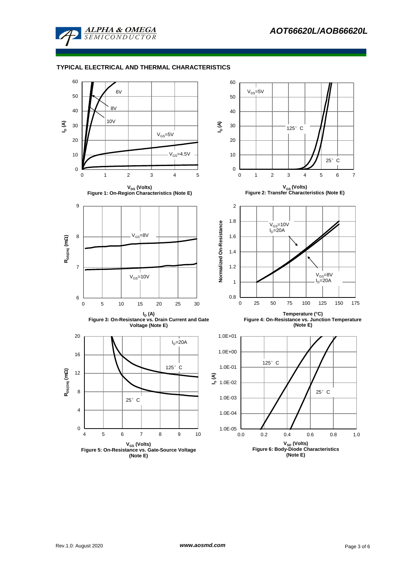

## **TYPICAL ELECTRICAL AND THERMAL CHARACTERISTICS**

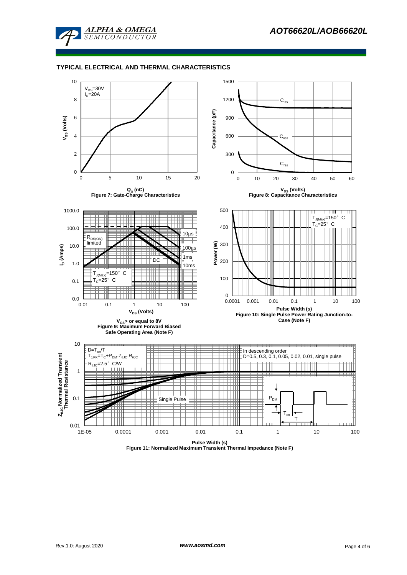

### **TYPICAL ELECTRICAL AND THERMAL CHARACTERISTICS**



**Figure 11: Normalized Maximum Transient Thermal Impedance (Note F)**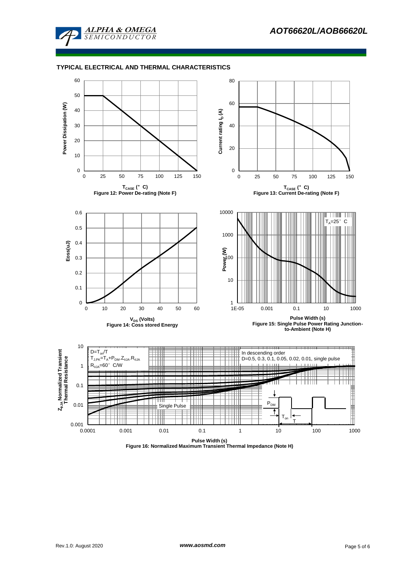

### **TYPICAL ELECTRICAL AND THERMAL CHARACTERISTICS**



**Figure 16: Normalized Maximum Transient Thermal Impedance (Note H)**